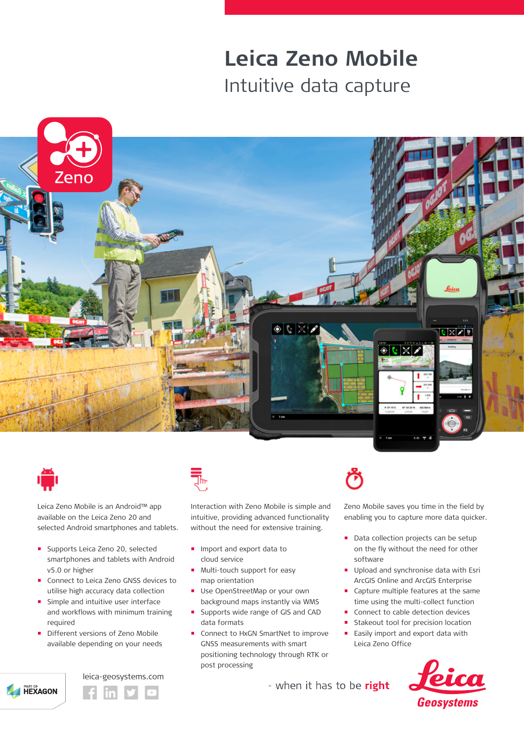# **Leica Zeno Mobile** Intuitive data capture





Leica Zeno Mobile is an Android™ app available on the Leica Zeno 20 and selected Android smartphones and tablets.

- **Supports Leica Zeno 20, selected** smartphones and tablets with Android v5.0 or higher
- Connect to Leica Zeno GNSS devices to utilise high accuracy data collection
- **Simple and intuitive user interface** and workflows with minimum training required
- Different versions of Zeno Mobile available depending on your needs







Interaction with Zeno Mobile is simple and intuitive, providing advanced functionality without the need for extensive training.

- **Import and export data to** cloud service
- **Multi-touch support for easy** map orientation
- **Use OpenStreetMap or your own** background maps instantly via WMS
- Supports wide range of GIS and CAD data formats
- Connect to HxGN SmartNet to improve GNSS measurements with smart positioning technology through RTK or post processing

Zeno Mobile saves you time in the field by enabling you to capture more data quicker.

- Data collection projects can be setup on the fly without the need for other software
- **Upload and synchronise data with Esri** ArcGIS Online and ArcGIS Enterprise
- **Capture multiple features at the same** time using the multi-collect function
- Connect to cable detection devices
- Stakeout tool for precision location
- **Easily import and export data with** Leica Zeno Office



- when it has to be right